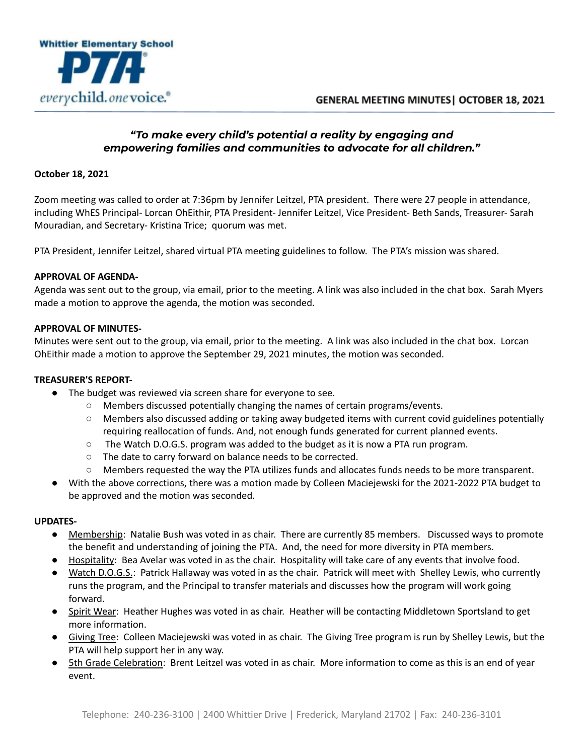

# *"To make every child's potential a reality by engaging and empowering families and communities to advocate for all children."*

## **October 18, 2021**

Zoom meeting was called to order at 7:36pm by Jennifer Leitzel, PTA president. There were 27 people in attendance, including WhES Principal- Lorcan OhEithir, PTA President- Jennifer Leitzel, Vice President- Beth Sands, Treasurer- Sarah Mouradian, and Secretary- Kristina Trice; quorum was met.

PTA President, Jennifer Leitzel, shared virtual PTA meeting guidelines to follow. The PTA's mission was shared.

#### **APPROVAL OF AGENDA-**

Agenda was sent out to the group, via email, prior to the meeting. A link was also included in the chat box. Sarah Myers made a motion to approve the agenda, the motion was seconded.

#### **APPROVAL OF MINUTES-**

Minutes were sent out to the group, via email, prior to the meeting. A link was also included in the chat box. Lorcan OhEithir made a motion to approve the September 29, 2021 minutes, the motion was seconded.

## **TREASURER'S REPORT-**

- The budget was reviewed via screen share for everyone to see.
	- Members discussed potentially changing the names of certain programs/events.
	- Members also discussed adding or taking away budgeted items with current covid guidelines potentially requiring reallocation of funds. And, not enough funds generated for current planned events.
	- $\circ$  The Watch D.O.G.S. program was added to the budget as it is now a PTA run program.
	- The date to carry forward on balance needs to be corrected.
	- Members requested the way the PTA utilizes funds and allocates funds needs to be more transparent.
- With the above corrections, there was a motion made by Colleen Maciejewski for the 2021-2022 PTA budget to be approved and the motion was seconded.

#### **UPDATES-**

- Membership: Natalie Bush was voted in as chair. There are currently 85 members. Discussed ways to promote the benefit and understanding of joining the PTA. And, the need for more diversity in PTA members.
- Hospitality: Bea Avelar was voted in as the chair. Hospitality will take care of any events that involve food.
- Watch D.O.G.S.: Patrick Hallaway was voted in as the chair. Patrick will meet with Shelley Lewis, who currently runs the program, and the Principal to transfer materials and discusses how the program will work going forward.
- Spirit Wear: Heather Hughes was voted in as chair. Heather will be contacting Middletown Sportsland to get more information.
- Giving Tree: Colleen Maciejewski was voted in as chair. The Giving Tree program is run by Shelley Lewis, but the PTA will help support her in any way.
- 5th Grade Celebration: Brent Leitzel was voted in as chair. More information to come as this is an end of year event.